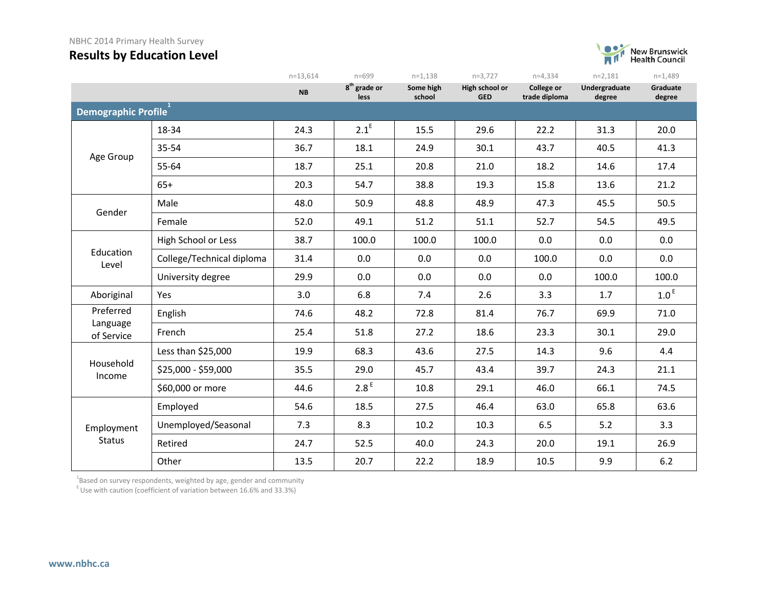#### NBHC 2014 Primary Health Survey

## **Results by Education Level**



|                        |                           | $n = 13,614$ | n=699                            | $n=1,138$           | $n=3,727$                    | $n=4,334$                   | $n=2,181$                                                 | $n=1,489$          |
|------------------------|---------------------------|--------------|----------------------------------|---------------------|------------------------------|-----------------------------|-----------------------------------------------------------|--------------------|
|                        |                           | <b>NB</b>    | 8 <sup>th</sup> grade or<br>less | Some high<br>school | High school or<br><b>GED</b> | College or<br>trade diploma | Undergraduate<br>degree                                   | Graduate<br>degree |
| Demographic Profile    |                           |              |                                  |                     |                              |                             |                                                           |                    |
|                        | 18-34                     | 24.3         | $2.1^E$                          | 15.5                | 29.6                         | 22.2                        | 31.3                                                      | 20.0               |
| Age Group              | 35-54                     | 36.7         | 18.1                             | 24.9                | 30.1                         | 43.7                        | 40.5                                                      | 41.3               |
|                        | 55-64                     | 18.7         | 25.1                             | 20.8                | 21.0                         | 18.2                        | 14.6                                                      | 17.4               |
|                        | $65+$                     | 20.3         | 54.7                             | 38.8                | 19.3                         | 15.8                        | 13.6                                                      | 21.2               |
| Gender                 | Male                      | 48.0         | 50.9                             | 48.8                | 48.9                         | 47.3                        | 45.5                                                      | 50.5               |
|                        | Female                    | 52.0         | 49.1                             | 51.2                | 51.1                         | 52.7                        | 54.5                                                      | 49.5               |
|                        | High School or Less       | 38.7         | 100.0                            | 100.0               | 100.0                        | 0.0                         | 0.0                                                       | 0.0                |
| Education<br>Level     | College/Technical diploma | 31.4         | 0.0                              | 0.0                 | 0.0                          | 100.0                       | 0.0                                                       | 0.0                |
|                        | University degree         | 29.9         | 0.0                              | 0.0                 | 0.0                          | 0.0                         | 100.0                                                     | 100.0              |
| Aboriginal             | Yes                       | 3.0          | 6.8                              | 7.4                 | 2.6                          | 3.3                         | 1.7<br>69.9<br>30.1<br>9.6<br>24.3<br>66.1<br>65.8<br>5.2 | 1.0 <sup>E</sup>   |
| Preferred              | English                   | 74.6         | 48.2                             | 72.8                | 81.4                         | 76.7                        |                                                           | 71.0               |
| Language<br>of Service | French                    | 25.4         | 51.8                             | 27.2                | 18.6                         | 23.3                        |                                                           | 29.0               |
|                        | Less than \$25,000        | 19.9         | 68.3                             | 43.6                | 27.5                         | 14.3                        |                                                           | 4.4                |
| Household<br>Income    | \$25,000 - \$59,000       | 35.5         | 29.0                             | 45.7                | 43.4                         | 39.7                        |                                                           | 21.1               |
|                        | \$60,000 or more          | 44.6         | 2.8 <sup>E</sup>                 | 10.8                | 29.1                         | 46.0                        |                                                           | 74.5               |
|                        | Employed                  | 54.6         | 18.5                             | 27.5                | 46.4                         | 63.0                        |                                                           | 63.6               |
| Employment             | Unemployed/Seasonal       | 7.3          | 8.3                              | 10.2                | 10.3                         | 6.5                         |                                                           | 3.3                |
| <b>Status</b>          | Retired                   | 24.7         | 52.5                             | 40.0                | 24.3                         | 20.0                        | 19.1                                                      | 26.9               |
|                        | Other                     | 13.5         | 20.7                             | 22.2                | 18.9                         | 10.5                        | 9.9                                                       | $6.2$              |

 $^{1}$ Based on survey respondents, weighted by age, gender and community

 $E$  Use with caution (coefficient of variation between 16.6% and 33.3%)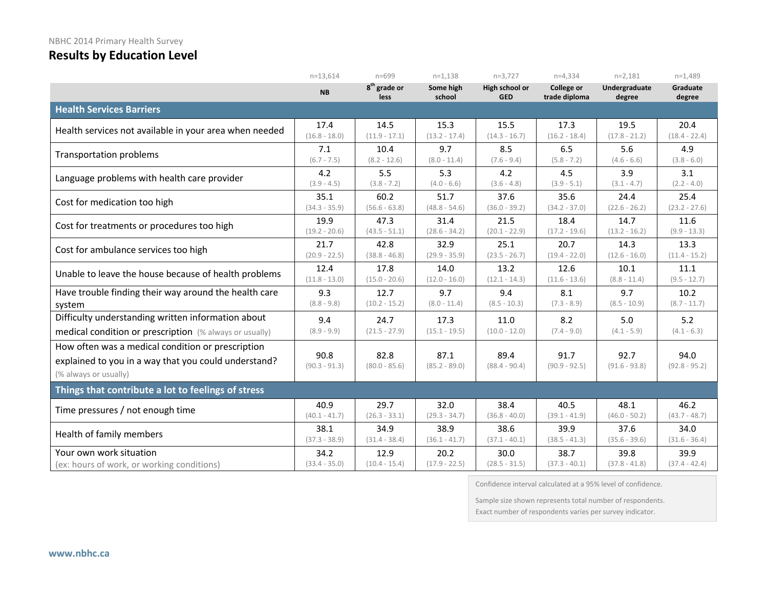|                                                                                                                                    | $n = 13,614$            | $n = 699$                               | $n=1,138$               | $n=3,727$                    | $n=4,334$                   | $n=2,181$               | $n=1,489$               |
|------------------------------------------------------------------------------------------------------------------------------------|-------------------------|-----------------------------------------|-------------------------|------------------------------|-----------------------------|-------------------------|-------------------------|
|                                                                                                                                    | <b>NB</b>               | 8 <sup>th</sup> grade or<br><b>less</b> | Some high<br>school     | High school or<br><b>GED</b> | College or<br>trade diploma | Undergraduate<br>degree | Graduate<br>degree      |
| <b>Health Services Barriers</b>                                                                                                    |                         |                                         |                         |                              |                             |                         |                         |
| Health services not available in your area when needed                                                                             | 17.4                    | 14.5                                    | 15.3                    | 15.5                         | 17.3                        | 19.5                    | 20.4                    |
|                                                                                                                                    | $(16.8 - 18.0)$         | $(11.9 - 17.1)$                         | $(13.2 - 17.4)$         | $(14.3 - 16.7)$              | $(16.2 - 18.4)$             | $(17.8 - 21.2)$         | $(18.4 - 22.4)$         |
| <b>Transportation problems</b>                                                                                                     | 7.1                     | 10.4                                    | 9.7                     | 8.5                          | 6.5                         | 5.6                     | 4.9                     |
|                                                                                                                                    | $(6.7 - 7.5)$           | $(8.2 - 12.6)$                          | $(8.0 - 11.4)$          | $(7.6 - 9.4)$                | $(5.8 - 7.2)$               | $(4.6 - 6.6)$           | $(3.8 - 6.0)$           |
| Language problems with health care provider                                                                                        | 4.2                     | 5.5                                     | 5.3                     | 4.2                          | 4.5                         | 3.9                     | 3.1                     |
|                                                                                                                                    | $(3.9 - 4.5)$           | $(3.8 - 7.2)$                           | $(4.0 - 6.6)$           | $(3.6 - 4.8)$                | $(3.9 - 5.1)$               | $(3.1 - 4.7)$           | $(2.2 - 4.0)$           |
| Cost for medication too high                                                                                                       | 35.1                    | 60.2                                    | 51.7                    | 37.6                         | 35.6                        | 24.4                    | 25.4                    |
|                                                                                                                                    | $(34.3 - 35.9)$         | $(56.6 - 63.8)$                         | $(48.8 - 54.6)$         | $(36.0 - 39.2)$              | $(34.2 - 37.0)$             | $(22.6 - 26.2)$         | $(23.2 - 27.6)$         |
| Cost for treatments or procedures too high                                                                                         | 19.9                    | 47.3                                    | 31.4                    | 21.5                         | 18.4                        | 14.7                    | 11.6                    |
|                                                                                                                                    | $(19.2 - 20.6)$         | $(43.5 - 51.1)$                         | $(28.6 - 34.2)$         | $(20.1 - 22.9)$              | $(17.2 - 19.6)$             | $(13.2 - 16.2)$         | $(9.9 - 13.3)$          |
| Cost for ambulance services too high                                                                                               | 21.7                    | 42.8                                    | 32.9                    | 25.1                         | 20.7                        | 14.3                    | 13.3                    |
|                                                                                                                                    | $(20.9 - 22.5)$         | $(38.8 - 46.8)$                         | $(29.9 - 35.9)$         | $(23.5 - 26.7)$              | $(19.4 - 22.0)$             | $(12.6 - 16.0)$         | $(11.4 - 15.2)$         |
| Unable to leave the house because of health problems                                                                               | 12.4                    | 17.8                                    | 14.0                    | 13.2                         | 12.6                        | 10.1                    | 11.1                    |
|                                                                                                                                    | $(11.8 - 13.0)$         | $(15.0 - 20.6)$                         | $(12.0 - 16.0)$         | $(12.1 - 14.3)$              | $(11.6 - 13.6)$             | $(8.8 - 11.4)$          | $(9.5 - 12.7)$          |
| Have trouble finding their way around the health care                                                                              | 9.3                     | 12.7                                    | 9.7                     | 9.4                          | 8.1                         | 9.7                     | 10.2                    |
| system                                                                                                                             | $(8.8 - 9.8)$           | $(10.2 - 15.2)$                         | $(8.0 - 11.4)$          | $(8.5 - 10.3)$               | $(7.3 - 8.9)$               | $(8.5 - 10.9)$          | $(8.7 - 11.7)$          |
| Difficulty understanding written information about                                                                                 | 9.4                     | 24.7                                    | 17.3                    | 11.0                         | 8.2                         | 5.0                     | 5.2                     |
| medical condition or prescription (% always or usually)                                                                            | $(8.9 - 9.9)$           | $(21.5 - 27.9)$                         | $(15.1 - 19.5)$         | $(10.0 - 12.0)$              | $(7.4 - 9.0)$               | $(4.1 - 5.9)$           | $(4.1 - 6.3)$           |
| How often was a medical condition or prescription<br>explained to you in a way that you could understand?<br>(% always or usually) | 90.8<br>$(90.3 - 91.3)$ | 82.8<br>$(80.0 - 85.6)$                 | 87.1<br>$(85.2 - 89.0)$ | 89.4<br>$(88.4 - 90.4)$      | 91.7<br>$(90.9 - 92.5)$     | 92.7<br>$(91.6 - 93.8)$ | 94.0<br>$(92.8 - 95.2)$ |
| Things that contribute a lot to feelings of stress                                                                                 |                         |                                         |                         |                              |                             |                         |                         |
| Time pressures / not enough time                                                                                                   | 40.9                    | 29.7                                    | 32.0                    | 38.4                         | 40.5                        | 48.1                    | 46.2                    |
|                                                                                                                                    | $(40.1 - 41.7)$         | $(26.3 - 33.1)$                         | $(29.3 - 34.7)$         | $(36.8 - 40.0)$              | $(39.1 - 41.9)$             | $(46.0 - 50.2)$         | $(43.7 - 48.7)$         |
| Health of family members                                                                                                           | 38.1                    | 34.9                                    | 38.9                    | 38.6                         | 39.9                        | 37.6                    | 34.0                    |
|                                                                                                                                    | $(37.3 - 38.9)$         | $(31.4 - 38.4)$                         | $(36.1 - 41.7)$         | $(37.1 - 40.1)$              | $(38.5 - 41.3)$             | $(35.6 - 39.6)$         | $(31.6 - 36.4)$         |
| Your own work situation                                                                                                            | 34.2                    | 12.9                                    | 20.2                    | 30.0                         | 38.7                        | 39.8                    | 39.9                    |
| (ex: hours of work, or working conditions)                                                                                         | $(33.4 - 35.0)$         | $(10.4 - 15.4)$                         | $(17.9 - 22.5)$         | $(28.5 - 31.5)$              | $(37.3 - 40.1)$             | $(37.8 - 41.8)$         | $(37.4 - 42.4)$         |

Confidence interval calculated at a 95% level of confidence.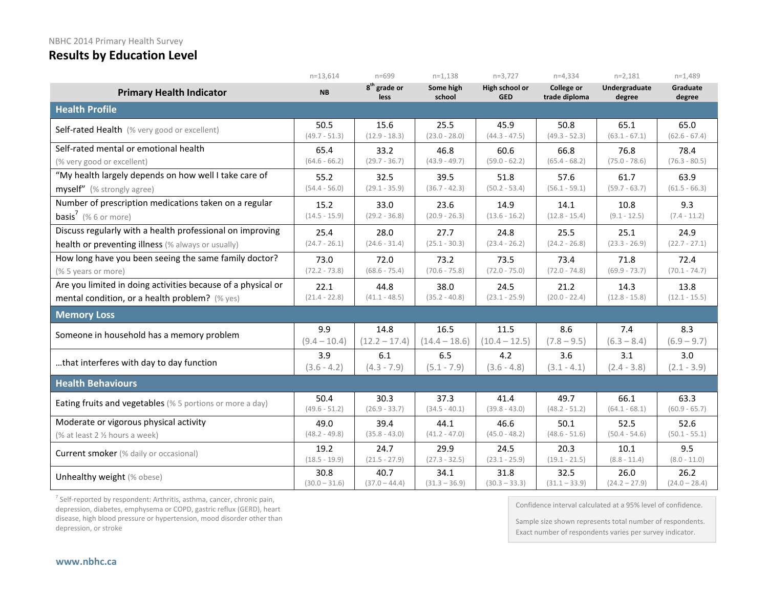|                                                              | $n=13,614$      | $n = 699$                               | $n=1,138$           | $n=3,727$                    | $n=4,334$                          | $n=2,181$               | $n=1,489$          |
|--------------------------------------------------------------|-----------------|-----------------------------------------|---------------------|------------------------------|------------------------------------|-------------------------|--------------------|
| <b>Primary Health Indicator</b>                              | <b>NB</b>       | 8 <sup>th</sup> grade or<br><b>less</b> | Some high<br>school | High school or<br><b>GED</b> | <b>College or</b><br>trade diploma | Undergraduate<br>degree | Graduate<br>degree |
| <b>Health Profile</b>                                        |                 |                                         |                     |                              |                                    |                         |                    |
| Self-rated Health (% very good or excellent)                 | 50.5            | 15.6                                    | 25.5                | 45.9                         | 50.8                               | 65.1                    | 65.0               |
|                                                              | $(49.7 - 51.3)$ | $(12.9 - 18.3)$                         | $(23.0 - 28.0)$     | $(44.3 - 47.5)$              | $(49.3 - 52.3)$                    | $(63.1 - 67.1)$         | $(62.6 - 67.4)$    |
| Self-rated mental or emotional health                        | 65.4            | 33.2                                    | 46.8                | 60.6                         | 66.8                               | 76.8                    | 78.4               |
| (% very good or excellent)                                   | $(64.6 - 66.2)$ | $(29.7 - 36.7)$                         | $(43.9 - 49.7)$     | $(59.0 - 62.2)$              | $(65.4 - 68.2)$                    | $(75.0 - 78.6)$         | $(76.3 - 80.5)$    |
| "My health largely depends on how well I take care of        | 55.2            | 32.5                                    | 39.5                | 51.8                         | 57.6                               | 61.7                    | 63.9               |
| myself" (% strongly agree)                                   | $(54.4 - 56.0)$ | $(29.1 - 35.9)$                         | $(36.7 - 42.3)$     | $(50.2 - 53.4)$              | $(56.1 - 59.1)$                    | $(59.7 - 63.7)$         | $(61.5 - 66.3)$    |
| Number of prescription medications taken on a regular        | 15.2            | 33.0                                    | 23.6                | 14.9                         | 14.1                               | 10.8                    | 9.3                |
| <b>basis<sup>7</sup></b> (% 6 or more)                       | $(14.5 - 15.9)$ | $(29.2 - 36.8)$                         | $(20.9 - 26.3)$     | $(13.6 - 16.2)$              | $(12.8 - 15.4)$                    | $(9.1 - 12.5)$          | $(7.4 - 11.2)$     |
| Discuss regularly with a health professional on improving    | 25.4            | 28.0                                    | 27.7                | 24.8                         | 25.5                               | 25.1                    | 24.9               |
| health or preventing illness (% always or usually)           | $(24.7 - 26.1)$ | $(24.6 - 31.4)$                         | $(25.1 - 30.3)$     | $(23.4 - 26.2)$              | $(24.2 - 26.8)$                    | $(23.3 - 26.9)$         | $(22.7 - 27.1)$    |
| How long have you been seeing the same family doctor?        | 73.0            | 72.0                                    | 73.2                | 73.5                         | 73.4                               | 71.8                    | 72.4               |
| (% 5 years or more)                                          | $(72.2 - 73.8)$ | $(68.6 - 75.4)$                         | $(70.6 - 75.8)$     | $(72.0 - 75.0)$              | $(72.0 - 74.8)$                    | $(69.9 - 73.7)$         | $(70.1 - 74.7)$    |
| Are you limited in doing activities because of a physical or | 22.1            | 44.8                                    | 38.0                | 24.5                         | 21.2                               | 14.3                    | 13.8               |
| mental condition, or a health problem? (% yes)               | $(21.4 - 22.8)$ | $(41.1 - 48.5)$                         | $(35.2 - 40.8)$     | $(23.1 - 25.9)$              | $(20.0 - 22.4)$                    | $(12.8 - 15.8)$         | $(12.1 - 15.5)$    |
| <b>Memory Loss</b>                                           |                 |                                         |                     |                              |                                    |                         |                    |
| Someone in household has a memory problem                    | 9.9             | 14.8                                    | 16.5                | 11.5                         | 8.6                                | 7.4                     | 8.3                |
|                                                              | $(9.4 - 10.4)$  | $(12.2 - 17.4)$                         | $(14.4 - 18.6)$     | $(10.4 - 12.5)$              | $(7.8 - 9.5)$                      | $(6.3 - 8.4)$           | $(6.9 - 9.7)$      |
| that interferes with day to day function                     | 3.9             | 6.1                                     | 6.5                 | 4.2                          | 3.6                                | 3.1                     | 3.0                |
|                                                              | $(3.6 - 4.2)$   | $(4.3 - 7.9)$                           | $(5.1 - 7.9)$       | $(3.6 - 4.8)$                | $(3.1 - 4.1)$                      | $(2.4 - 3.8)$           | $(2.1 - 3.9)$      |
| <b>Health Behaviours</b>                                     |                 |                                         |                     |                              |                                    |                         |                    |
| Eating fruits and vegetables (% 5 portions or more a day)    | 50.4            | 30.3                                    | 37.3                | 41.4                         | 49.7                               | 66.1                    | 63.3               |
|                                                              | $(49.6 - 51.2)$ | $(26.9 - 33.7)$                         | $(34.5 - 40.1)$     | $(39.8 - 43.0)$              | $(48.2 - 51.2)$                    | $(64.1 - 68.1)$         | $(60.9 - 65.7)$    |
| Moderate or vigorous physical activity                       | 49.0            | 39.4                                    | 44.1                | 46.6                         | 50.1                               | 52.5                    | 52.6               |
| (% at least 2 % hours a week)                                | $(48.2 - 49.8)$ | $(35.8 - 43.0)$                         | $(41.2 - 47.0)$     | $(45.0 - 48.2)$              | $(48.6 - 51.6)$                    | $(50.4 - 54.6)$         | $(50.1 - 55.1)$    |
| <b>Current smoker</b> (% daily or occasional)                | 19.2            | 24.7                                    | 29.9                | 24.5                         | 20.3                               | 10.1                    | 9.5                |
|                                                              | $(18.5 - 19.9)$ | $(21.5 - 27.9)$                         | $(27.3 - 32.5)$     | $(23.1 - 25.9)$              | $(19.1 - 21.5)$                    | $(8.8 - 11.4)$          | $(8.0 - 11.0)$     |
| Unhealthy weight (% obese)                                   | 30.8            | 40.7                                    | 34.1                | 31.8                         | 32.5                               | 26.0                    | 26.2               |
|                                                              | $(30.0 - 31.6)$ | $(37.0 - 44.4)$                         | $(31.3 - 36.9)$     | $(30.3 - 33.3)$              | $(31.1 - 33.9)$                    | $(24.2 - 27.9)$         | $(24.0 - 28.4)$    |

 $<sup>7</sup>$  Self-reported by respondent: Arthritis, asthma, cancer, chronic pain,</sup> depression, diabetes, emphysema or COPD, gastric reflux (GERD), heart disease, high blood pressure or hypertension, mood disorder other than depression, or stroke

Confidence interval calculated at a 95% level of confidence.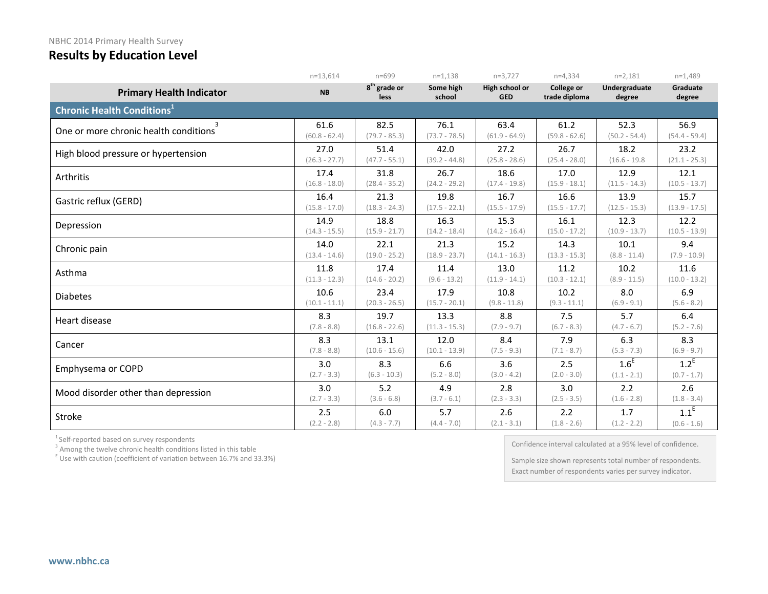|                                              | $n=13,614$       | $n = 699$              | $n=1.138$           | $n=3,727$                    | $n=4,334$                   | $n=2,181$               | $n=1,489$          |
|----------------------------------------------|------------------|------------------------|---------------------|------------------------------|-----------------------------|-------------------------|--------------------|
| <b>Primary Health Indicator</b>              | <b>NB</b>        | $8th$ grade or<br>less | Some high<br>school | High school or<br><b>GED</b> | College or<br>trade diploma | Undergraduate<br>degree | Graduate<br>degree |
| <b>Chronic Health Conditions<sup>1</sup></b> |                  |                        |                     |                              |                             |                         |                    |
| 3                                            | 61.6             | 82.5                   | 76.1                | 63.4                         | 61.2                        | 52.3                    | 56.9               |
| One or more chronic health conditions        | $(60.8 - 62.4)$  | $(79.7 - 85.3)$        | $(73.7 - 78.5)$     | $(61.9 - 64.9)$              | $(59.8 - 62.6)$             | $(50.2 - 54.4)$         | $(54.4 - 59.4)$    |
| High blood pressure or hypertension          | 27.0             | 51.4                   | 42.0                | 27.2                         | 26.7                        | 18.2                    | 23.2               |
|                                              | $(26.3 - 27.7)$  | $(47.7 - 55.1)$        | $(39.2 - 44.8)$     | $(25.8 - 28.6)$              | $(25.4 - 28.0)$             | $(16.6 - 19.8)$         | $(21.1 - 25.3)$    |
| Arthritis                                    | 17.4             | 31.8                   | 26.7                | 18.6                         | 17.0                        | 12.9                    | 12.1               |
|                                              | $(16.8 - 18.0)$  | $(28.4 - 35.2)$        | $(24.2 - 29.2)$     | $(17.4 - 19.8)$              | $(15.9 - 18.1)$             | $(11.5 - 14.3)$         | $(10.5 - 13.7)$    |
| Gastric reflux (GERD)                        | 16.4             | 21.3                   | 19.8                | 16.7                         | 16.6                        | 13.9                    | 15.7               |
|                                              | $(15.8 - 17.0)$  | $(18.3 - 24.3)$        | $(17.5 - 22.1)$     | $(15.5 - 17.9)$              | $(15.5 - 17.7)$             | $(12.5 - 15.3)$         | $(13.9 - 17.5)$    |
| Depression                                   | 14.9             | 18.8                   | 16.3                | 15.3                         | 16.1                        | 12.3                    | 12.2               |
|                                              | $(14.3 - 15.5)$  | $(15.9 - 21.7)$        | $(14.2 - 18.4)$     | $(14.2 - 16.4)$              | $(15.0 - 17.2)$             | $(10.9 - 13.7)$         | $(10.5 - 13.9)$    |
| Chronic pain                                 | 14.0             | 22.1                   | 21.3                | 15.2                         | 14.3                        | 10.1                    | 9.4                |
|                                              | $(13.4 - 14.6)$  | $(19.0 - 25.2)$        | $(18.9 - 23.7)$     | $(14.1 - 16.3)$              | $(13.3 - 15.3)$             | $(8.8 - 11.4)$          | $(7.9 - 10.9)$     |
| Asthma                                       | 11.8             | 17.4                   | 11.4                | 13.0                         | 11.2                        | 10.2                    | 11.6               |
|                                              | $(11.3 - 12.3)$  | $(14.6 - 20.2)$        | $(9.6 - 13.2)$      | $(11.9 - 14.1)$              | $(10.3 - 12.1)$             | $(8.9 - 11.5)$          | $(10.0 - 13.2)$    |
| <b>Diabetes</b>                              | 10.6             | 23.4                   | 17.9                | 10.8                         | 10.2                        | 8.0                     | 6.9                |
|                                              | $(10.1 - 11.1)$  | $(20.3 - 26.5)$        | $(15.7 - 20.1)$     | $(9.8 - 11.8)$               | $(9.3 - 11.1)$              | $(6.9 - 9.1)$           | $(5.6 - 8.2)$      |
| Heart disease                                | 8.3              | 19.7                   | 13.3                | 8.8                          | 7.5                         | 5.7                     | 6.4                |
|                                              | $(7.8 - 8.8)$    | $(16.8 - 22.6)$        | $(11.3 - 15.3)$     | $(7.9 - 9.7)$                | $(6.7 - 8.3)$               | $(4.7 - 6.7)$           | $(5.2 - 7.6)$      |
| Cancer                                       | 8.3              | 13.1                   | 12.0                | 8.4                          | 7.9                         | 6.3                     | 8.3                |
|                                              | $(7.8 - 8.8)$    | $(10.6 - 15.6)$        | $(10.1 - 13.9)$     | $(7.5 - 9.3)$                | $(7.1 - 8.7)$               | $(5.3 - 7.3)$           | $(6.9 - 9.7)$      |
| Emphysema or COPD                            | 3.0              | 8.3                    | 6.6                 | 3.6                          | 2.5                         | 1.6 <sup>E</sup>        | $1.2^E$            |
|                                              | $(2.7 - 3.3)$    | $(6.3 - 10.3)$         | $(5.2 - 8.0)$       | $(3.0 - 4.2)$                | $(2.0 - 3.0)$               | $(1.1 - 2.1)$           | $(0.7 - 1.7)$      |
| Mood disorder other than depression          | 3.0 <sub>2</sub> | 5.2                    | 4.9                 | 2.8                          | 3.0                         | 2.2                     | 2.6                |
|                                              | $(2.7 - 3.3)$    | $(3.6 - 6.8)$          | $(3.7 - 6.1)$       | $(2.3 - 3.3)$                | $(2.5 - 3.5)$               | $(1.6 - 2.8)$           | $(1.8 - 3.4)$      |
| Stroke                                       | 2.5              | 6.0                    | 5.7                 | 2.6                          | 2.2                         | 1.7                     | $1.1^E$            |
|                                              | $(2.2 - 2.8)$    | $(4.3 - 7.7)$          | $(4.4 - 7.0)$       | $(2.1 - 3.1)$                | $(1.8 - 2.6)$               | $(1.2 - 2.2)$           | $(0.6 - 1.6)$      |

<sup>1</sup> Self-reported based on survey respondents <sup>3</sup> Among the twelve chronic health conditions listed in this table

 $E$  Use with caution (coefficient of variation between 16.7% and 33.3%)

Confidence interval calculated at a 95% level of confidence.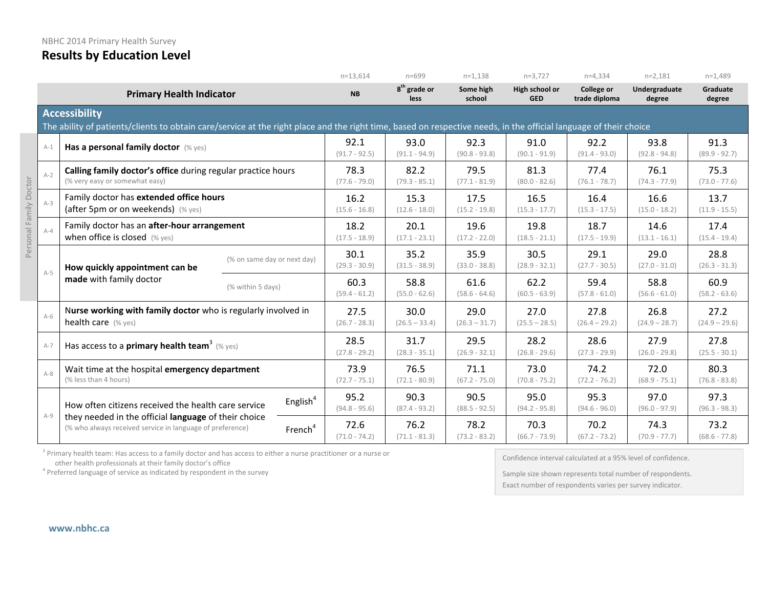|        |       |                                                                                                                                                                                                                         |  |                         | $n=13,614$              | $n = 699$                        | $n=1,138$               | $n=3,727$                    | $n=4,334$                          | $n=2,181$               | $n=1,489$               |
|--------|-------|-------------------------------------------------------------------------------------------------------------------------------------------------------------------------------------------------------------------------|--|-------------------------|-------------------------|----------------------------------|-------------------------|------------------------------|------------------------------------|-------------------------|-------------------------|
|        |       | <b>Primary Health Indicator</b>                                                                                                                                                                                         |  |                         | <b>NB</b>               | 8 <sup>th</sup> grade or<br>less | Some high<br>school     | High school or<br><b>GED</b> | <b>College or</b><br>trade diploma | Undergraduate<br>degree | Graduate<br>degree      |
|        |       | <b>Accessibility</b><br>The ability of patients/clients to obtain care/service at the right place and the right time, based on respective needs, in the official language of their choice                               |  |                         |                         |                                  |                         |                              |                                    |                         |                         |
|        | $A-1$ | Has a personal family doctor $(\%$ yes)                                                                                                                                                                                 |  |                         | 92.1<br>$(91.7 - 92.5)$ | 93.0<br>$(91.1 - 94.9)$          | 92.3<br>$(90.8 - 93.8)$ | 91.0<br>$(90.1 - 91.9)$      | 92.2<br>$(91.4 - 93.0)$            | 93.8<br>$(92.8 - 94.8)$ | 91.3<br>$(89.9 - 92.7)$ |
| ctor   | $A-2$ | Calling family doctor's office during regular practice hours<br>(% very easy or somewhat easy)                                                                                                                          |  | 78.3<br>$(77.6 - 79.0)$ | 82.2<br>$(79.3 - 85.1)$ | 79.5<br>$(77.1 - 81.9)$          | 81.3<br>$(80.0 - 82.6)$ | 77.4<br>$(76.1 - 78.7)$      | 76.1<br>$(74.3 - 77.9)$            | 75.3<br>$(73.0 - 77.6)$ |                         |
| å      | $A-3$ | Family doctor has extended office hours<br>(after 5pm or on weekends) (% yes)                                                                                                                                           |  | 16.2<br>$(15.6 - 16.8)$ | 15.3<br>$(12.6 - 18.0)$ | 17.5<br>$(15.2 - 19.8)$          | 16.5<br>$(15.3 - 17.7)$ | 16.4<br>$(15.3 - 17.5)$      | 16.6<br>$(15.0 - 18.2)$            | 13.7<br>$(11.9 - 15.5)$ |                         |
|        | $A-4$ | Family doctor has an after-hour arrangement<br>when office is closed $(\%$ yes)                                                                                                                                         |  | 18.2<br>$(17.5 - 18.9)$ | 20.1<br>$(17.1 - 23.1)$ | 19.6<br>$(17.2 - 22.0)$          | 19.8<br>$(18.5 - 21.1)$ | 18.7<br>$(17.5 - 19.9)$      | 14.6<br>$(13.1 - 16.1)$            | 17.4<br>$(15.4 - 19.4)$ |                         |
| Persor | $A-5$ | (% on same day or next day)<br>How quickly appointment can be<br>made with family doctor<br>(% within 5 days)                                                                                                           |  |                         | 30.1<br>$(29.3 - 30.9)$ | 35.2<br>$(31.5 - 38.9)$          | 35.9<br>$(33.0 - 38.8)$ | 30.5<br>$(28.9 - 32.1)$      | 29.1<br>$(27.7 - 30.5)$            | 29.0<br>$(27.0 - 31.0)$ | 28.8<br>$(26.3 - 31.3)$ |
|        |       |                                                                                                                                                                                                                         |  |                         | 60.3<br>$(59.4 - 61.2)$ | 58.8<br>$(55.0 - 62.6)$          | 61.6<br>$(58.6 - 64.6)$ | 62.2<br>$(60.5 - 63.9)$      | 59.4<br>$(57.8 - 61.0)$            | 58.8<br>$(56.6 - 61.0)$ | 60.9<br>$(58.2 - 63.6)$ |
|        | $A-6$ | Nurse working with family doctor who is regularly involved in<br>health care (% yes)                                                                                                                                    |  |                         | 27.5<br>$(26.7 - 28.3)$ | 30.0<br>$(26.5 - 33.4)$          | 29.0<br>$(26.3 - 31.7)$ | 27.0<br>$(25.5 - 28.5)$      | 27.8<br>$(26.4 - 29.2)$            | 26.8<br>$(24.9 - 28.7)$ | 27.2<br>$(24.9 - 29.6)$ |
|        | $A-7$ | Has access to a primary health team <sup>3</sup> (% yes)                                                                                                                                                                |  | 28.5<br>$(27.8 - 29.2)$ | 31.7<br>$(28.3 - 35.1)$ | 29.5<br>$(26.9 - 32.1)$          | 28.2<br>$(26.8 - 29.6)$ | 28.6<br>$(27.3 - 29.9)$      | 27.9<br>$(26.0 - 29.8)$            | 27.8<br>$(25.5 - 30.1)$ |                         |
|        | $A-8$ | Wait time at the hospital emergency department<br>(% less than 4 hours)                                                                                                                                                 |  |                         | 73.9<br>$(72.7 - 75.1)$ | 76.5<br>$(72.1 - 80.9)$          | 71.1<br>$(67.2 - 75.0)$ | 73.0<br>$(70.8 - 75.2)$      | 74.2<br>$(72.2 - 76.2)$            | 72.0<br>$(68.9 - 75.1)$ | 80.3<br>$(76.8 - 83.8)$ |
|        | $A-9$ | English <sup>4</sup><br>How often citizens received the health care service<br>they needed in the official language of their choice<br>(% who always received service in language of preference)<br>French <sup>4</sup> |  |                         | 95.2<br>$(94.8 - 95.6)$ | 90.3<br>$(87.4 - 93.2)$          | 90.5<br>$(88.5 - 92.5)$ | 95.0<br>$(94.2 - 95.8)$      | 95.3<br>$(94.6 - 96.0)$            | 97.0<br>$(96.0 - 97.9)$ | 97.3<br>$(96.3 - 98.3)$ |
|        |       |                                                                                                                                                                                                                         |  |                         | 72.6<br>$(71.0 - 74.2)$ | 76.2<br>$(71.1 - 81.3)$          | 78.2<br>$(73.2 - 83.2)$ | 70.3<br>$(66.7 - 73.9)$      | 70.2<br>$(67.2 - 73.2)$            | 74.3<br>$(70.9 - 77.7)$ | 73.2<br>$(68.6 - 77.8)$ |

<sup>3</sup> Primary health team: Has access to a family doctor and has access to either a nurse practitioner or a nurse or other health professionals at their family doctor's office

 $4$  Preferred language of service as indicated by respondent in the survey

Confidence interval calculated at a 95% level of confidence.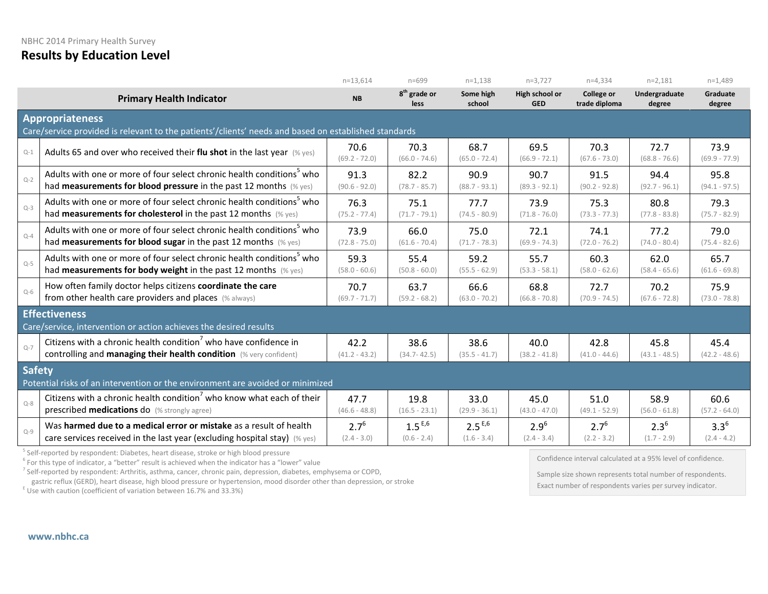|               |                                                                                                                                | $n=13,614$              | $n = 699$                               | $n=1,138$               | $n=3,727$                    | $n=4,334$                          | $n=2,181$               | $n=1,489$               |  |  |  |
|---------------|--------------------------------------------------------------------------------------------------------------------------------|-------------------------|-----------------------------------------|-------------------------|------------------------------|------------------------------------|-------------------------|-------------------------|--|--|--|
|               | <b>Primary Health Indicator</b>                                                                                                | <b>NB</b>               | 8 <sup>th</sup> grade or<br><b>less</b> | Some high<br>school     | High school or<br><b>GED</b> | <b>College or</b><br>trade diploma | Undergraduate<br>degree | Graduate<br>degree      |  |  |  |
|               | <b>Appropriateness</b><br>Care/service provided is relevant to the patients'/clients' needs and based on established standards |                         |                                         |                         |                              |                                    |                         |                         |  |  |  |
| $Q-1$         | Adults 65 and over who received their flu shot in the last year $(\%$ yes)                                                     | 70.6<br>$(69.2 - 72.0)$ | 70.3<br>$(66.0 - 74.6)$                 | 68.7<br>$(65.0 - 72.4)$ | 69.5<br>$(66.9 - 72.1)$      | 70.3<br>$(67.6 - 73.0)$            | 72.7<br>$(68.8 - 76.6)$ | 73.9<br>$(69.9 - 77.9)$ |  |  |  |
| $Q-2$         | Adults with one or more of four select chronic health conditions <sup>5</sup> who                                              | 91.3                    | 82.2                                    | 90.9                    | 90.7                         | 91.5                               | 94.4                    | 95.8                    |  |  |  |
|               | had measurements for blood pressure in the past 12 months (% yes)                                                              | $(90.6 - 92.0)$         | $(78.7 - 85.7)$                         | $(88.7 - 93.1)$         | $(89.3 - 92.1)$              | $(90.2 - 92.8)$                    | $(92.7 - 96.1)$         | $(94.1 - 97.5)$         |  |  |  |
| $Q-3$         | Adults with one or more of four select chronic health conditions <sup>5</sup> who                                              | 76.3                    | 75.1                                    | 77.7                    | 73.9                         | 75.3                               | 80.8                    | 79.3                    |  |  |  |
|               | had measurements for cholesterol in the past 12 months (% yes)                                                                 | $(75.2 - 77.4)$         | $(71.7 - 79.1)$                         | $(74.5 - 80.9)$         | $(71.8 - 76.0)$              | $(73.3 - 77.3)$                    | $(77.8 - 83.8)$         | $(75.7 - 82.9)$         |  |  |  |
| $Q - 4$       | Adults with one or more of four select chronic health conditions <sup>5</sup> who                                              | 73.9                    | 66.0                                    | 75.0                    | 72.1                         | 74.1                               | 77.2                    | 79.0                    |  |  |  |
|               | had measurements for blood sugar in the past 12 months (% yes)                                                                 | $(72.8 - 75.0)$         | $(61.6 - 70.4)$                         | $(71.7 - 78.3)$         | $(69.9 - 74.3)$              | $(72.0 - 76.2)$                    | $(74.0 - 80.4)$         | $(75.4 - 82.6)$         |  |  |  |
| $O - 5$       | Adults with one or more of four select chronic health conditions <sup>5</sup> who                                              | 59.3                    | 55.4                                    | 59.2                    | 55.7                         | 60.3                               | 62.0                    | 65.7                    |  |  |  |
|               | had measurements for body weight in the past 12 months (% yes)                                                                 | $(58.0 - 60.6)$         | $(50.8 - 60.0)$                         | $(55.5 - 62.9)$         | $(53.3 - 58.1)$              | $(58.0 - 62.6)$                    | $(58.4 - 65.6)$         | $(61.6 - 69.8)$         |  |  |  |
| $Q-6$         | How often family doctor helps citizens coordinate the care                                                                     | 70.7                    | 63.7                                    | 66.6                    | 68.8                         | 72.7                               | 70.2                    | 75.9                    |  |  |  |
|               | from other health care providers and places (% always)                                                                         | $(69.7 - 71.7)$         | $(59.2 - 68.2)$                         | $(63.0 - 70.2)$         | $(66.8 - 70.8)$              | $(70.9 - 74.5)$                    | $(67.6 - 72.8)$         | $(73.0 - 78.8)$         |  |  |  |
|               | <b>Effectiveness</b><br>Care/service, intervention or action achieves the desired results                                      |                         |                                         |                         |                              |                                    |                         |                         |  |  |  |
| $Q-7$         | Citizens with a chronic health condition <sup>7</sup> who have confidence in                                                   | 42.2                    | 38.6                                    | 38.6                    | 40.0                         | 42.8                               | 45.8                    | 45.4                    |  |  |  |
|               | controlling and managing their health condition (% very confident)                                                             | $(41.2 - 43.2)$         | $(34.7 - 42.5)$                         | $(35.5 - 41.7)$         | $(38.2 - 41.8)$              | $(41.0 - 44.6)$                    | $(43.1 - 48.5)$         | $(42.2 - 48.6)$         |  |  |  |
| <b>Safety</b> | Potential risks of an intervention or the environment are avoided or minimized                                                 |                         |                                         |                         |                              |                                    |                         |                         |  |  |  |
| $Q-8$         | Citizens with a chronic health condition <sup>7</sup> who know what each of their                                              | 47.7                    | 19.8                                    | 33.0                    | 45.0                         | 51.0                               | 58.9                    | 60.6                    |  |  |  |
|               | prescribed medications do (% strongly agree)                                                                                   | $(46.6 - 48.8)$         | $(16.5 - 23.1)$                         | $(29.9 - 36.1)$         | $(43.0 - 47.0)$              | $(49.1 - 52.9)$                    | $(56.0 - 61.8)$         | $(57.2 - 64.0)$         |  |  |  |
| $Q-9$         | Was harmed due to a medical error or mistake as a result of health                                                             | $2.7^6$                 | $1.5^{E,6}$                             | $2.5^{E,6}$             | $2.9^{6}$                    | $2.7^{6}$                          | $2.3^{6}$               | $3.3^{6}$               |  |  |  |
|               | care services received in the last year (excluding hospital stay) (% yes)                                                      | $(2.4 - 3.0)$           | $(0.6 - 2.4)$                           | $(1.6 - 3.4)$           | $(2.4 - 3.4)$                | $(2.2 - 3.2)$                      | $(1.7 - 2.9)$           | $(2.4 - 4.2)$           |  |  |  |

<sup>5</sup> Self-reported by respondent: Diabetes, heart disease, stroke or high blood pressure

 $6$  For this type of indicator, a "better" result is achieved when the indicator has a "lower" value

<sup>7</sup> Self-reported by respondent: Arthritis, asthma, cancer, chronic pain, depression, diabetes, emphysema or COPD, gastric reflux (GERD), heart disease, high blood pressure or hypertension, mood disorder other than depression, or stroke

 $E$  Use with caution (coefficient of variation between 16.7% and 33.3%)

Confidence interval calculated at a 95% level of confidence.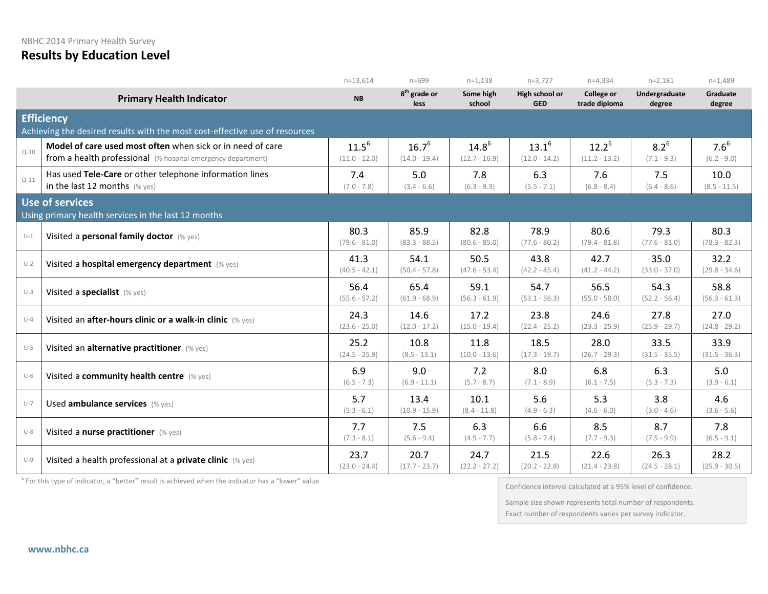NBHC 2014 Primary Health Survey

**Results by Education Level**

|          |                                                                                                                            | $n=13,614$                    | $n = 699$                               | $n=1,138$                     | $n=3,727$                     | $n=4,334$                          | $n=2,181$                  | $n=1,489$                |
|----------|----------------------------------------------------------------------------------------------------------------------------|-------------------------------|-----------------------------------------|-------------------------------|-------------------------------|------------------------------------|----------------------------|--------------------------|
|          | <b>Primary Health Indicator</b>                                                                                            | <b>NB</b>                     | 8 <sup>th</sup> grade or<br><b>less</b> | Some high<br>school           | High school or<br><b>GED</b>  | <b>College or</b><br>trade diploma | Undergraduate<br>degree    | Graduate<br>degree       |
|          | <b>Efficiency</b>                                                                                                          |                               |                                         |                               |                               |                                    |                            |                          |
|          | Achieving the desired results with the most cost-effective use of resources                                                |                               |                                         |                               |                               |                                    |                            |                          |
| $Q - 10$ | Model of care used most often when sick or in need of care<br>from a health professional (% hospital emergency department) | $11.5^{6}$<br>$(11.0 - 12.0)$ | $16.7^6$<br>$(14.0 - 19.4)$             | $14.8^{6}$<br>$(12.7 - 16.9)$ | $13.1^{6}$<br>$(12.0 - 14.2)$ | $12.2^{6}$<br>$(11.2 - 13.2)$      | $8.2^{6}$<br>$(7.1 - 9.3)$ | $7.6^6$<br>$(6.2 - 9.0)$ |
| $Q - 11$ | Has used Tele-Care or other telephone information lines<br>in the last 12 months $(\%$ yes)                                | 7.4<br>$(7.0 - 7.8)$          | 5.0<br>$(3.4 - 6.6)$                    | 7.8<br>$(6.3 - 9.3)$          | 6.3<br>$(5.5 - 7.1)$          | 7.6<br>$(6.8 - 8.4)$               | 7.5<br>$(6.4 - 8.6)$       | 10.0<br>$(8.5 - 11.5)$   |
|          | Use of services                                                                                                            |                               |                                         |                               |                               |                                    |                            |                          |
|          | Using primary health services in the last 12 months                                                                        |                               |                                         |                               |                               |                                    |                            |                          |
| $U-1$    | Visited a personal family doctor (% yes)                                                                                   | 80.3<br>$(79.6 - 81.0)$       | 85.9<br>$(83.3 - 88.5)$                 | 82.8<br>$(80.6 - 85.0)$       | 78.9<br>$(77.6 - 80.2)$       | 80.6<br>$(79.4 - 81.8)$            | 79.3<br>$(77.6 - 81.0)$    | 80.3<br>$(78.3 - 82.3)$  |
| $U-2$    | Visited a hospital emergency department (% yes)                                                                            | 41.3<br>$(40.5 - 42.1)$       | 54.1<br>$(50.4 - 57.8)$                 | 50.5<br>$(47.6 - 53.4)$       | 43.8<br>$(42.2 - 45.4)$       | 42.7<br>$(41.2 - 44.2)$            | 35.0<br>$(33.0 - 37.0)$    | 32.2<br>$(29.8 - 34.6)$  |
| $U-3$    | Visited a specialist (% yes)                                                                                               | 56.4<br>$(55.6 - 57.2)$       | 65.4<br>$(61.9 - 68.9)$                 | 59.1<br>$(56.3 - 61.9)$       | 54.7<br>$(53.1 - 56.3)$       | 56.5<br>$(55.0 - 58.0)$            | 54.3<br>$(52.2 - 56.4)$    | 58.8<br>$(56.3 - 61.3)$  |
| $U-4$    | Visited an after-hours clinic or a walk-in clinic (% yes)                                                                  | 24.3<br>$(23.6 - 25.0)$       | 14.6<br>$(12.0 - 17.2)$                 | 17.2<br>$(15.0 - 19.4)$       | 23.8<br>$(22.4 - 25.2)$       | 24.6<br>$(23.3 - 25.9)$            | 27.8<br>$(25.9 - 29.7)$    | 27.0<br>$(24.8 - 29.2)$  |
| $U-5$    | Visited an alternative practitioner (% yes)                                                                                | 25.2<br>$(24.5 - 25.9)$       | 10.8<br>$(8.5 - 13.1)$                  | 11.8<br>$(10.0 - 13.6)$       | 18.5<br>$(17.3 - 19.7)$       | 28.0<br>$(26.7 - 29.3)$            | 33.5<br>$(31.5 - 35.5)$    | 33.9<br>$(31.5 - 36.3)$  |
| $U-6$    | Visited a community health centre (% yes)                                                                                  | 6.9<br>$(6.5 - 7.3)$          | 9.0<br>$(6.9 - 11.1)$                   | 7.2<br>$(5.7 - 8.7)$          | 8.0<br>$(7.1 - 8.9)$          | 6.8<br>$(6.1 - 7.5)$               | 6.3<br>$(5.3 - 7.3)$       | 5.0<br>$(3.9 - 6.1)$     |
| $U-7$    | Used ambulance services (% yes)                                                                                            | 5.7<br>$(5.3 - 6.1)$          | 13.4<br>$(10.9 - 15.9)$                 | 10.1<br>$(8.4 - 11.8)$        | 5.6<br>$(4.9 - 6.3)$          | 5.3<br>$(4.6 - 6.0)$               | 3.8<br>$(3.0 - 4.6)$       | 4.6<br>$(3.6 - 5.6)$     |
| $U-8$    | Visited a nurse practitioner (% yes)                                                                                       | 7.7<br>$(7.3 - 8.1)$          | 7.5<br>$(5.6 - 9.4)$                    | 6.3<br>$(4.9 - 7.7)$          | 6.6<br>$(5.8 - 7.4)$          | 8.5<br>$(7.7 - 9.3)$               | 8.7<br>$(7.5 - 9.9)$       | 7.8<br>$(6.5 - 9.1)$     |
| $U-9$    | Visited a health professional at a private clinic (% yes)                                                                  | 23.7<br>$(23.0 - 24.4)$       | 20.7<br>$(17.7 - 23.7)$                 | 24.7<br>$(22.2 - 27.2)$       | 21.5<br>$(20.2 - 22.8)$       | 22.6<br>$(21.4 - 23.8)$            | 26.3<br>$(24.5 - 28.1)$    | 28.2<br>$(25.9 - 30.5)$  |

 $6$  For this type of indicator, a "better" result is achieved when the indicator has a "lower" value

Confidence interval calculated at a 95% level of confidence.